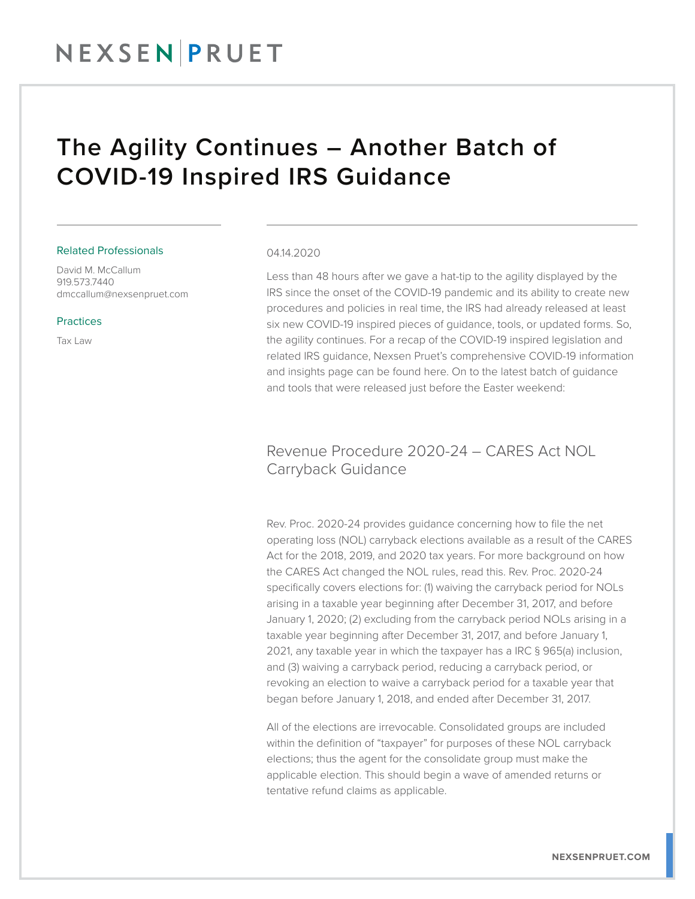### The Agility Continues – Another Batch of COVID-19 Inspired IRS Guidance

#### Related Professionals

David M. McCallum 919.573.7440 dmccallum@nexsenpruet.com

#### Practices

Tax Law

#### 04.14.2020

Less than 48 hours after we gave a hat-tip to the agility displayed by the IRS since the onset of the COVID-19 pandemic and its ability to create new procedures and policies in real time, the IRS had already released at least six new COVID-19 inspired pieces of guidance, tools, or updated forms. So, the agility continues. For a recap of the COVID-19 inspired legislation and related IRS guidance, Nexsen Pruet's comprehensive COVID-19 information and insights page can be found here. On to the latest batch of guidance and tools that were released just before the Easter weekend:

#### Revenue Procedure 2020-24 – CARES Act NOL Carryback Guidance

Rev. Proc. 2020-24 provides guidance concerning how to file the net operating loss (NOL) carryback elections available as a result of the CARES Act for the 2018, 2019, and 2020 tax years. For more background on how the CARES Act changed the NOL rules, read this. Rev. Proc. 2020-24 specifically covers elections for: (1) waiving the carryback period for NOLs arising in a taxable year beginning after December 31, 2017, and before January 1, 2020; (2) excluding from the carryback period NOLs arising in a taxable year beginning after December 31, 2017, and before January 1, 2021, any taxable year in which the taxpayer has a IRC § 965(a) inclusion, and (3) waiving a carryback period, reducing a carryback period, or revoking an election to waive a carryback period for a taxable year that began before January 1, 2018, and ended after December 31, 2017.

All of the elections are irrevocable. Consolidated groups are included within the definition of "taxpayer" for purposes of these NOL carryback elections; thus the agent for the consolidate group must make the applicable election. This should begin a wave of amended returns or tentative refund claims as applicable.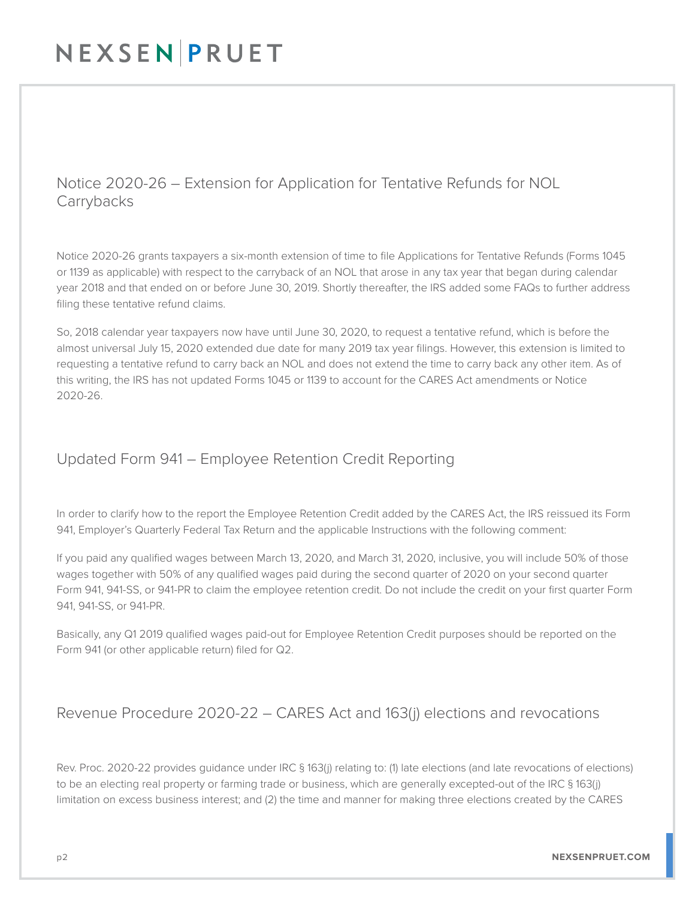### Notice 2020-26 – Extension for Application for Tentative Refunds for NOL **Carrybacks**

Notice 2020-26 grants taxpayers a six-month extension of time to file Applications for Tentative Refunds (Forms 1045 or 1139 as applicable) with respect to the carryback of an NOL that arose in any tax year that began during calendar year 2018 and that ended on or before June 30, 2019. Shortly thereafter, the IRS added some FAQs to further address filing these tentative refund claims.

So, 2018 calendar year taxpayers now have until June 30, 2020, to request a tentative refund, which is before the almost universal July 15, 2020 extended due date for many 2019 tax year filings. However, this extension is limited to requesting a tentative refund to carry back an NOL and does not extend the time to carry back any other item. As of this writing, the IRS has not updated Forms 1045 or 1139 to account for the CARES Act amendments or Notice 2020-26.

#### Updated Form 941 – Employee Retention Credit Reporting

In order to clarify how to the report the Employee Retention Credit added by the CARES Act, the IRS reissued its Form 941, Employer's Quarterly Federal Tax Return and the applicable Instructions with the following comment:

If you paid any qualified wages between March 13, 2020, and March 31, 2020, inclusive, you will include 50% of those wages together with 50% of any qualified wages paid during the second quarter of 2020 on your second quarter Form 941, 941-SS, or 941-PR to claim the employee retention credit. Do not include the credit on your first quarter Form 941, 941-SS, or 941-PR.

Basically, any Q1 2019 qualified wages paid-out for Employee Retention Credit purposes should be reported on the Form 941 (or other applicable return) filed for Q2.

### Revenue Procedure 2020-22 – CARES Act and 163(j) elections and revocations

Rev. Proc. 2020-22 provides guidance under IRC § 163(j) relating to: (1) late elections (and late revocations of elections) to be an electing real property or farming trade or business, which are generally excepted-out of the IRC § 163(j) limitation on excess business interest; and (2) the time and manner for making three elections created by the CARES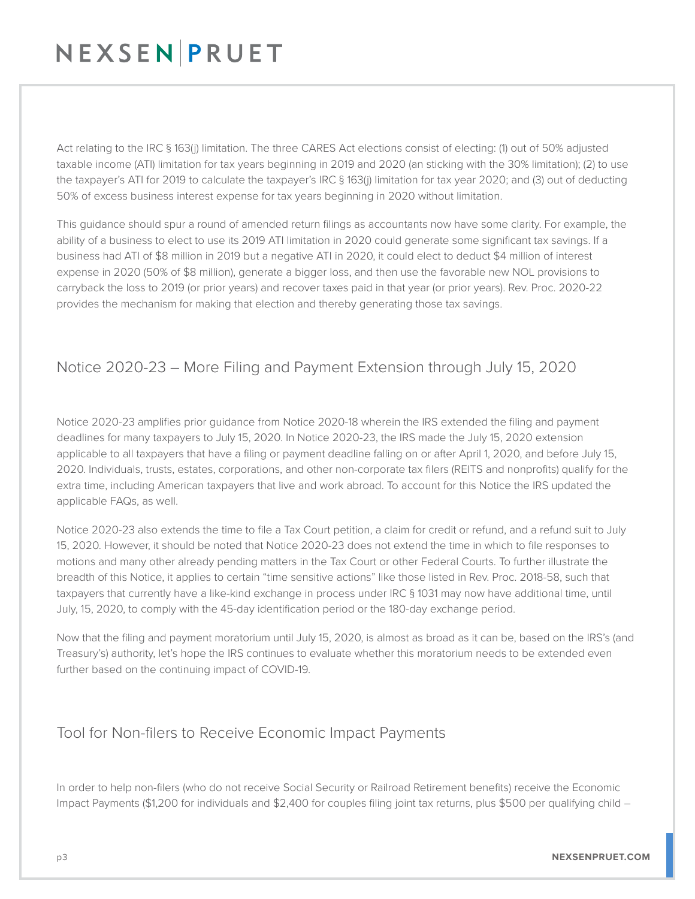Act relating to the IRC § 163(j) limitation. The three CARES Act elections consist of electing: (1) out of 50% adjusted taxable income (ATI) limitation for tax years beginning in 2019 and 2020 (an sticking with the 30% limitation); (2) to use the taxpayer's ATI for 2019 to calculate the taxpayer's IRC § 163(j) limitation for tax year 2020; and (3) out of deducting 50% of excess business interest expense for tax years beginning in 2020 without limitation.

This guidance should spur a round of amended return filings as accountants now have some clarity. For example, the ability of a business to elect to use its 2019 ATI limitation in 2020 could generate some significant tax savings. If a business had ATI of \$8 million in 2019 but a negative ATI in 2020, it could elect to deduct \$4 million of interest expense in 2020 (50% of \$8 million), generate a bigger loss, and then use the favorable new NOL provisions to carryback the loss to 2019 (or prior years) and recover taxes paid in that year (or prior years). Rev. Proc. 2020-22 provides the mechanism for making that election and thereby generating those tax savings.

### Notice 2020-23 – More Filing and Payment Extension through July 15, 2020

Notice 2020-23 amplifies prior guidance from Notice 2020-18 wherein the IRS extended the filing and payment deadlines for many taxpayers to July 15, 2020. In Notice 2020-23, the IRS made the July 15, 2020 extension applicable to all taxpayers that have a filing or payment deadline falling on or after April 1, 2020, and before July 15, 2020. Individuals, trusts, estates, corporations, and other non-corporate tax filers (REITS and nonprofits) qualify for the extra time, including American taxpayers that live and work abroad. To account for this Notice the IRS updated the applicable FAQs, as well.

Notice 2020-23 also extends the time to file a Tax Court petition, a claim for credit or refund, and a refund suit to July 15, 2020. However, it should be noted that Notice 2020-23 does not extend the time in which to file responses to motions and many other already pending matters in the Tax Court or other Federal Courts. To further illustrate the breadth of this Notice, it applies to certain "time sensitive actions" like those listed in Rev. Proc. 2018-58, such that taxpayers that currently have a like-kind exchange in process under IRC § 1031 may now have additional time, until July, 15, 2020, to comply with the 45-day identification period or the 180-day exchange period.

Now that the filing and payment moratorium until July 15, 2020, is almost as broad as it can be, based on the IRS's (and Treasury's) authority, let's hope the IRS continues to evaluate whether this moratorium needs to be extended even further based on the continuing impact of COVID-19.

### Tool for Non-filers to Receive Economic Impact Payments

In order to help non-filers (who do not receive Social Security or Railroad Retirement benefits) receive the Economic Impact Payments (\$1,200 for individuals and \$2,400 for couples filing joint tax returns, plus \$500 per qualifying child –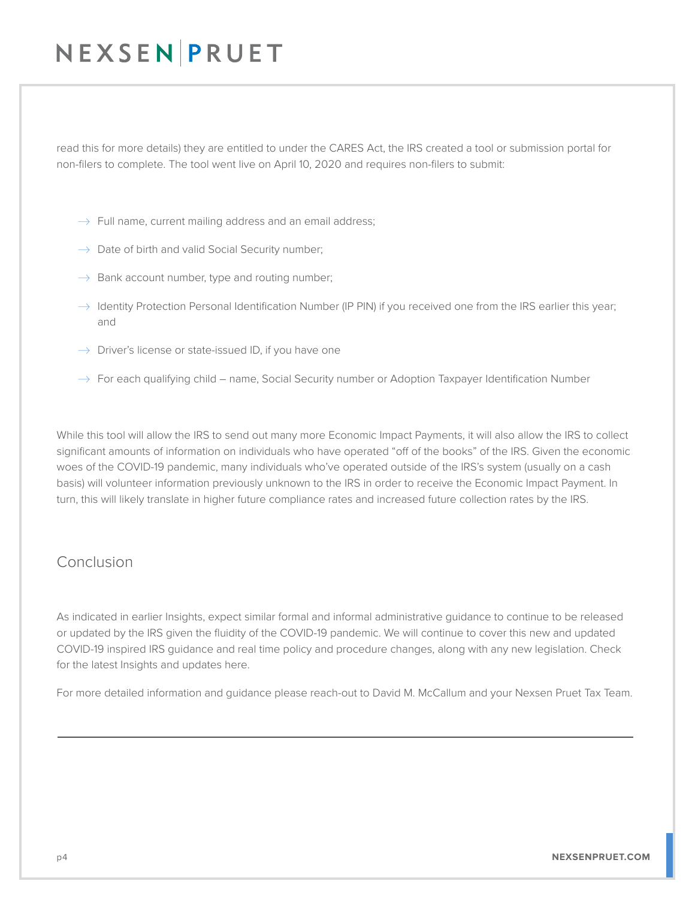read this for more details) they are entitled to under the CARES Act, the IRS created a tool or submission portal for non-filers to complete. The tool went live on April 10, 2020 and requires non-filers to submit:

- $\rightarrow$  Full name, current mailing address and an email address;
- $\rightarrow$  Date of birth and valid Social Security number;
- $\rightarrow$  Bank account number, type and routing number;
- $\rightarrow$  Identity Protection Personal Identification Number (IP PIN) if you received one from the IRS earlier this year; and
- $\rightarrow$  Driver's license or state-issued ID, if you have one
- $\rightarrow$  For each qualifying child name, Social Security number or Adoption Taxpayer Identification Number

While this tool will allow the IRS to send out many more Economic Impact Payments, it will also allow the IRS to collect significant amounts of information on individuals who have operated "off of the books" of the IRS. Given the economic woes of the COVID-19 pandemic, many individuals who've operated outside of the IRS's system (usually on a cash basis) will volunteer information previously unknown to the IRS in order to receive the Economic Impact Payment. In turn, this will likely translate in higher future compliance rates and increased future collection rates by the IRS.

#### Conclusion

As indicated in earlier Insights, expect similar formal and informal administrative guidance to continue to be released or updated by the IRS given the fluidity of the COVID-19 pandemic. We will continue to cover this new and updated COVID-19 inspired IRS guidance and real time policy and procedure changes, along with any new legislation. Check for the latest Insights and updates here.

For more detailed information and guidance please reach-out to David M. McCallum and your Nexsen Pruet Tax Team.

 $\overline{a}$